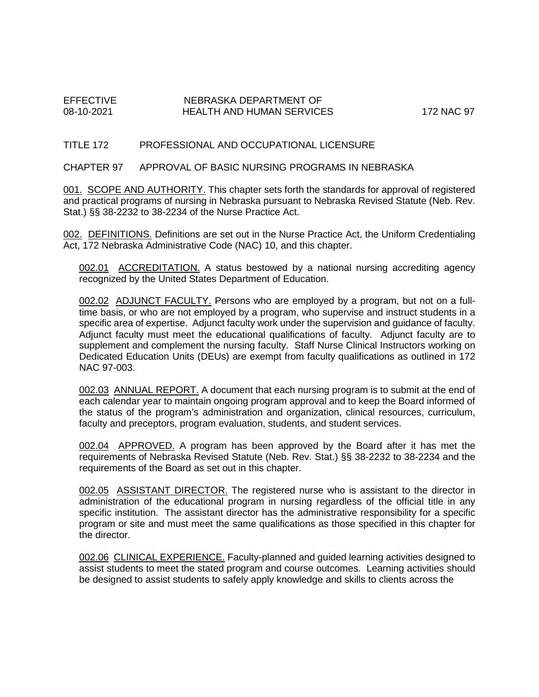## EFFECTIVE NEBRASKA DEPARTMENT OF NEBRASKA DEPARTMENT OF HEALTH AND HUMAN SERVICES 172 NAC 97

#### TITLE 172 PROFESSIONAL AND OCCUPATIONAL LICENSURE

#### CHAPTER 97 APPROVAL OF BASIC NURSING PROGRAMS IN NEBRASKA

001. SCOPE AND AUTHORITY. This chapter sets forth the standards for approval of registered and practical programs of nursing in Nebraska pursuant to Nebraska Revised Statute (Neb. Rev. Stat.) §§ 38-2232 to 38-2234 of the Nurse Practice Act.

002. DEFINITIONS. Definitions are set out in the Nurse Practice Act, the Uniform Credentialing Act, 172 Nebraska Administrative Code (NAC) 10, and this chapter.

002.01 ACCREDITATION. A status bestowed by a national nursing accrediting agency recognized by the United States Department of Education.

002.02 ADJUNCT FACULTY. Persons who are employed by a program, but not on a fulltime basis, or who are not employed by a program, who supervise and instruct students in a specific area of expertise. Adjunct faculty work under the supervision and guidance of faculty. Adjunct faculty must meet the educational qualifications of faculty. Adjunct faculty are to supplement and complement the nursing faculty. Staff Nurse Clinical Instructors working on Dedicated Education Units (DEUs) are exempt from faculty qualifications as outlined in 172 NAC 97-003.

002.03 ANNUAL REPORT. A document that each nursing program is to submit at the end of each calendar year to maintain ongoing program approval and to keep the Board informed of the status of the program's administration and organization, clinical resources, curriculum, faculty and preceptors, program evaluation, students, and student services.

002.04 APPROVED. A program has been approved by the Board after it has met the requirements of Nebraska Revised Statute (Neb. Rev. Stat.) §§ 38-2232 to 38-2234 and the requirements of the Board as set out in this chapter.

002.05 ASSISTANT DIRECTOR. The registered nurse who is assistant to the director in administration of the educational program in nursing regardless of the official title in any specific institution. The assistant director has the administrative responsibility for a specific program or site and must meet the same qualifications as those specified in this chapter for the director.

002.06 CLINICAL EXPERIENCE. Faculty-planned and guided learning activities designed to assist students to meet the stated program and course outcomes. Learning activities should be designed to assist students to safely apply knowledge and skills to clients across the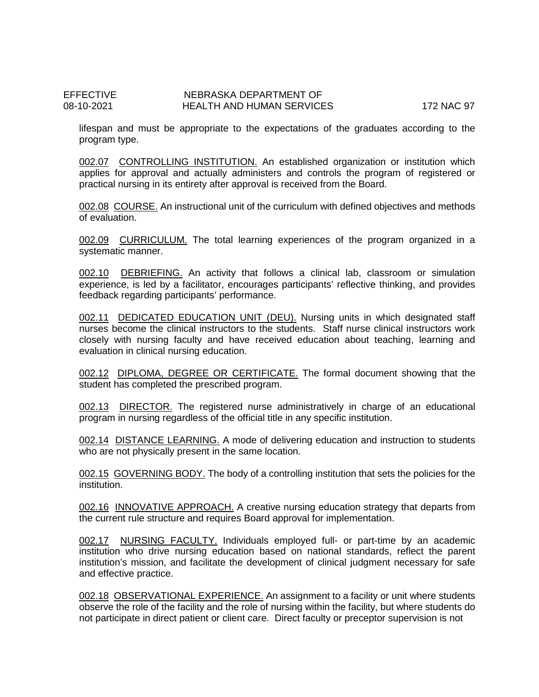lifespan and must be appropriate to the expectations of the graduates according to the program type.

002.07 CONTROLLING INSTITUTION. An established organization or institution which applies for approval and actually administers and controls the program of registered or practical nursing in its entirety after approval is received from the Board.

002.08 COURSE. An instructional unit of the curriculum with defined objectives and methods of evaluation.

002.09 CURRICULUM. The total learning experiences of the program organized in a systematic manner.

002.10 DEBRIEFING. An activity that follows a clinical lab, classroom or simulation experience, is led by a facilitator, encourages participants' reflective thinking, and provides feedback regarding participants' performance.

002.11 DEDICATED EDUCATION UNIT (DEU). Nursing units in which designated staff nurses become the clinical instructors to the students. Staff nurse clinical instructors work closely with nursing faculty and have received education about teaching, learning and evaluation in clinical nursing education.

002.12 DIPLOMA, DEGREE OR CERTIFICATE. The formal document showing that the student has completed the prescribed program.

002.13 DIRECTOR. The registered nurse administratively in charge of an educational program in nursing regardless of the official title in any specific institution.

002.14 DISTANCE LEARNING. A mode of delivering education and instruction to students who are not physically present in the same location.

002.15 GOVERNING BODY. The body of a controlling institution that sets the policies for the institution.

002.16 INNOVATIVE APPROACH. A creative nursing education strategy that departs from the current rule structure and requires Board approval for implementation.

002.17 NURSING FACULTY. Individuals employed full- or part-time by an academic institution who drive nursing education based on national standards, reflect the parent institution's mission, and facilitate the development of clinical judgment necessary for safe and effective practice.

002.18 OBSERVATIONAL EXPERIENCE. An assignment to a facility or unit where students observe the role of the facility and the role of nursing within the facility, but where students do not participate in direct patient or client care. Direct faculty or preceptor supervision is not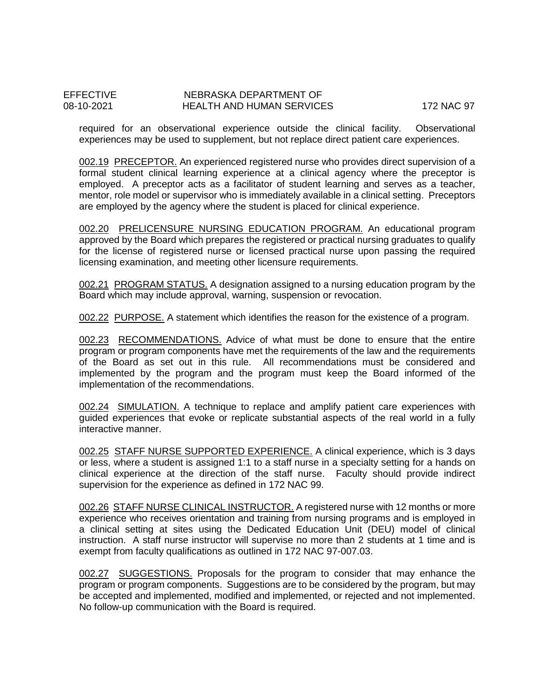required for an observational experience outside the clinical facility. Observational experiences may be used to supplement, but not replace direct patient care experiences.

002.19 PRECEPTOR. An experienced registered nurse who provides direct supervision of a formal student clinical learning experience at a clinical agency where the preceptor is employed. A preceptor acts as a facilitator of student learning and serves as a teacher, mentor, role model or supervisor who is immediately available in a clinical setting. Preceptors are employed by the agency where the student is placed for clinical experience.

002.20 PRELICENSURE NURSING EDUCATION PROGRAM. An educational program approved by the Board which prepares the registered or practical nursing graduates to qualify for the license of registered nurse or licensed practical nurse upon passing the required licensing examination, and meeting other licensure requirements.

002.21 PROGRAM STATUS. A designation assigned to a nursing education program by the Board which may include approval, warning, suspension or revocation.

002.22 PURPOSE. A statement which identifies the reason for the existence of a program.

002.23 RECOMMENDATIONS. Advice of what must be done to ensure that the entire program or program components have met the requirements of the law and the requirements of the Board as set out in this rule. All recommendations must be considered and implemented by the program and the program must keep the Board informed of the implementation of the recommendations.

002.24 SIMULATION. A technique to replace and amplify patient care experiences with guided experiences that evoke or replicate substantial aspects of the real world in a fully interactive manner.

002.25 STAFF NURSE SUPPORTED EXPERIENCE. A clinical experience, which is 3 days or less, where a student is assigned 1:1 to a staff nurse in a specialty setting for a hands on clinical experience at the direction of the staff nurse. Faculty should provide indirect supervision for the experience as defined in 172 NAC 99.

002.26 STAFF NURSE CLINICAL INSTRUCTOR. A registered nurse with 12 months or more experience who receives orientation and training from nursing programs and is employed in a clinical setting at sites using the Dedicated Education Unit (DEU) model of clinical instruction. A staff nurse instructor will supervise no more than 2 students at 1 time and is exempt from faculty qualifications as outlined in 172 NAC 97-007.03.

002.27 SUGGESTIONS. Proposals for the program to consider that may enhance the program or program components. Suggestions are to be considered by the program, but may be accepted and implemented, modified and implemented, or rejected and not implemented. No follow-up communication with the Board is required.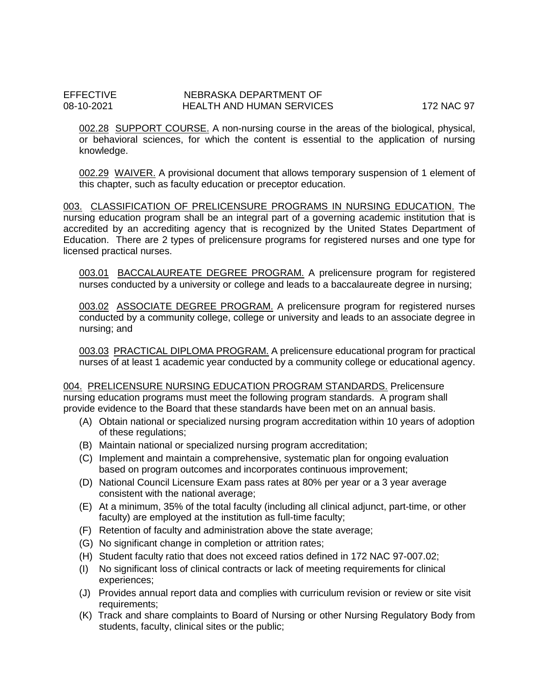002.28 SUPPORT COURSE. A non-nursing course in the areas of the biological, physical, or behavioral sciences, for which the content is essential to the application of nursing knowledge.

002.29 WAIVER. A provisional document that allows temporary suspension of 1 element of this chapter, such as faculty education or preceptor education.

003. CLASSIFICATION OF PRELICENSURE PROGRAMS IN NURSING EDUCATION. The nursing education program shall be an integral part of a governing academic institution that is accredited by an accrediting agency that is recognized by the United States Department of Education. There are 2 types of prelicensure programs for registered nurses and one type for licensed practical nurses.

003.01 BACCALAUREATE DEGREE PROGRAM. A prelicensure program for registered nurses conducted by a university or college and leads to a baccalaureate degree in nursing;

003.02 ASSOCIATE DEGREE PROGRAM. A prelicensure program for registered nurses conducted by a community college, college or university and leads to an associate degree in nursing; and

003.03 PRACTICAL DIPLOMA PROGRAM. A prelicensure educational program for practical nurses of at least 1 academic year conducted by a community college or educational agency.

004. PRELICENSURE NURSING EDUCATION PROGRAM STANDARDS. Prelicensure nursing education programs must meet the following program standards. A program shall provide evidence to the Board that these standards have been met on an annual basis.

- (A) Obtain national or specialized nursing program accreditation within 10 years of adoption of these regulations;
- (B) Maintain national or specialized nursing program accreditation;
- (C) Implement and maintain a comprehensive, systematic plan for ongoing evaluation based on program outcomes and incorporates continuous improvement;
- (D) National Council Licensure Exam pass rates at 80% per year or a 3 year average consistent with the national average;
- (E) At a minimum, 35% of the total faculty (including all clinical adjunct, part-time, or other faculty) are employed at the institution as full-time faculty;
- (F) Retention of faculty and administration above the state average;
- (G) No significant change in completion or attrition rates;
- (H) Student faculty ratio that does not exceed ratios defined in 172 NAC 97-007.02;
- (I) No significant loss of clinical contracts or lack of meeting requirements for clinical experiences;
- (J) Provides annual report data and complies with curriculum revision or review or site visit requirements;
- (K) Track and share complaints to Board of Nursing or other Nursing Regulatory Body from students, faculty, clinical sites or the public;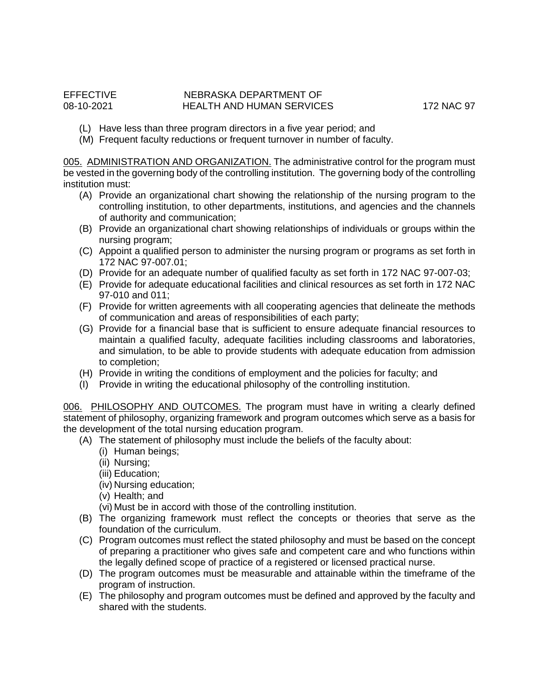- (L) Have less than three program directors in a five year period; and
- (M) Frequent faculty reductions or frequent turnover in number of faculty.

005. ADMINISTRATION AND ORGANIZATION. The administrative control for the program must be vested in the governing body of the controlling institution. The governing body of the controlling institution must:

- (A) Provide an organizational chart showing the relationship of the nursing program to the controlling institution, to other departments, institutions, and agencies and the channels of authority and communication;
- (B) Provide an organizational chart showing relationships of individuals or groups within the nursing program;
- (C) Appoint a qualified person to administer the nursing program or programs as set forth in 172 NAC 97-007.01;
- (D) Provide for an adequate number of qualified faculty as set forth in 172 NAC 97-007-03;
- (E) Provide for adequate educational facilities and clinical resources as set forth in 172 NAC 97-010 and 011;
- (F) Provide for written agreements with all cooperating agencies that delineate the methods of communication and areas of responsibilities of each party;
- (G) Provide for a financial base that is sufficient to ensure adequate financial resources to maintain a qualified faculty, adequate facilities including classrooms and laboratories, and simulation, to be able to provide students with adequate education from admission to completion;
- (H) Provide in writing the conditions of employment and the policies for faculty; and
- (I) Provide in writing the educational philosophy of the controlling institution.

006. PHILOSOPHY AND OUTCOMES. The program must have in writing a clearly defined statement of philosophy, organizing framework and program outcomes which serve as a basis for the development of the total nursing education program.

- (A) The statement of philosophy must include the beliefs of the faculty about:
	- (i) Human beings;
	- (ii) Nursing;
	- (iii) Education;
	- (iv) Nursing education;
	- (v) Health; and
	- (vi) Must be in accord with those of the controlling institution.
- (B) The organizing framework must reflect the concepts or theories that serve as the foundation of the curriculum.
- (C) Program outcomes must reflect the stated philosophy and must be based on the concept of preparing a practitioner who gives safe and competent care and who functions within the legally defined scope of practice of a registered or licensed practical nurse.
- (D) The program outcomes must be measurable and attainable within the timeframe of the program of instruction.
- (E) The philosophy and program outcomes must be defined and approved by the faculty and shared with the students.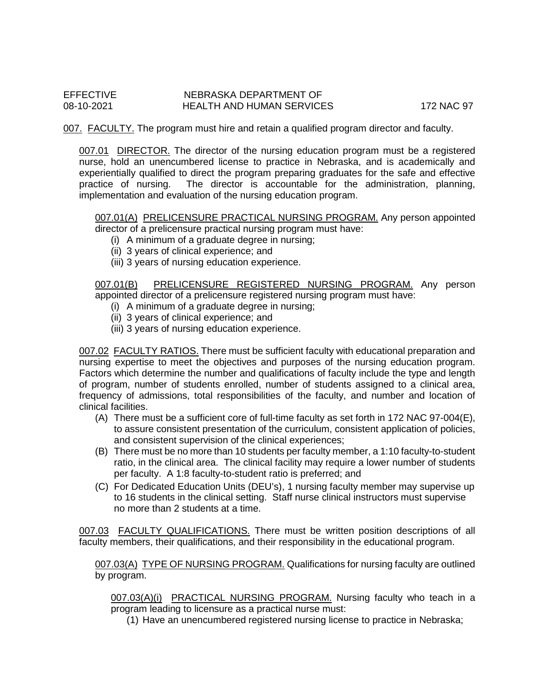007. FACULTY. The program must hire and retain a qualified program director and faculty.

007.01 DIRECTOR. The director of the nursing education program must be a registered nurse, hold an unencumbered license to practice in Nebraska, and is academically and experientially qualified to direct the program preparing graduates for the safe and effective practice of nursing. The director is accountable for the administration, planning, implementation and evaluation of the nursing education program.

007.01(A) PRELICENSURE PRACTICAL NURSING PROGRAM. Any person appointed director of a prelicensure practical nursing program must have:

- (i) A minimum of a graduate degree in nursing;
- (ii) 3 years of clinical experience; and
- (iii) 3 years of nursing education experience.

007.01(B) PRELICENSURE REGISTERED NURSING PROGRAM. Any person appointed director of a prelicensure registered nursing program must have:

- (i) A minimum of a graduate degree in nursing;
- (ii) 3 years of clinical experience; and
- (iii) 3 years of nursing education experience.

007.02 FACULTY RATIOS. There must be sufficient faculty with educational preparation and nursing expertise to meet the objectives and purposes of the nursing education program. Factors which determine the number and qualifications of faculty include the type and length of program, number of students enrolled, number of students assigned to a clinical area, frequency of admissions, total responsibilities of the faculty, and number and location of clinical facilities.

- (A) There must be a sufficient core of full-time faculty as set forth in 172 NAC 97-004(E), to assure consistent presentation of the curriculum, consistent application of policies, and consistent supervision of the clinical experiences;
- (B) There must be no more than 10 students per faculty member, a 1:10 faculty-to-student ratio, in the clinical area. The clinical facility may require a lower number of students per faculty. A 1:8 faculty-to-student ratio is preferred; and
- (C) For Dedicated Education Units (DEU's), 1 nursing faculty member may supervise up to 16 students in the clinical setting. Staff nurse clinical instructors must supervise no more than 2 students at a time.

007.03 FACULTY QUALIFICATIONS. There must be written position descriptions of all faculty members, their qualifications, and their responsibility in the educational program.

007.03(A) TYPE OF NURSING PROGRAM. Qualifications for nursing faculty are outlined by program.

007.03(A)(i) PRACTICAL NURSING PROGRAM. Nursing faculty who teach in a program leading to licensure as a practical nurse must:

(1) Have an unencumbered registered nursing license to practice in Nebraska;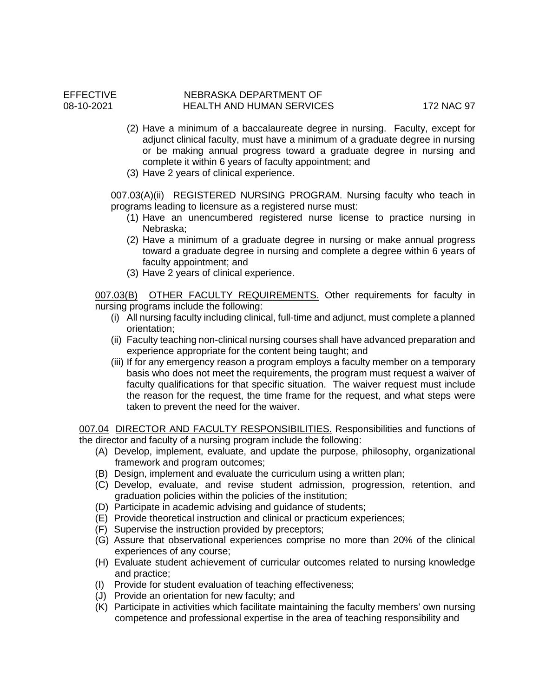#### EFFECTIVE NEBRASKA DEPARTMENT OF NEBRASKA DEPARTMENT OF HEALTH AND HUMAN SERVICES 172 NAC 97

- (2) Have a minimum of a baccalaureate degree in nursing. Faculty, except for adjunct clinical faculty, must have a minimum of a graduate degree in nursing or be making annual progress toward a graduate degree in nursing and complete it within 6 years of faculty appointment; and
- (3) Have 2 years of clinical experience.

007.03(A)(ii) REGISTERED NURSING PROGRAM. Nursing faculty who teach in programs leading to licensure as a registered nurse must:

- (1) Have an unencumbered registered nurse license to practice nursing in Nebraska;
- (2) Have a minimum of a graduate degree in nursing or make annual progress toward a graduate degree in nursing and complete a degree within 6 years of faculty appointment; and
- (3) Have 2 years of clinical experience.

007.03(B) OTHER FACULTY REQUIREMENTS. Other requirements for faculty in nursing programs include the following:

- (i) All nursing faculty including clinical, full-time and adjunct, must complete a planned orientation;
- (ii) Faculty teaching non-clinical nursing courses shall have advanced preparation and experience appropriate for the content being taught; and
- (iii) If for any emergency reason a program employs a faculty member on a temporary basis who does not meet the requirements, the program must request a waiver of faculty qualifications for that specific situation. The waiver request must include the reason for the request, the time frame for the request, and what steps were taken to prevent the need for the waiver.

007.04 DIRECTOR AND FACULTY RESPONSIBILITIES. Responsibilities and functions of the director and faculty of a nursing program include the following:

- (A) Develop, implement, evaluate, and update the purpose, philosophy, organizational framework and program outcomes;
- (B) Design, implement and evaluate the curriculum using a written plan;
- (C) Develop, evaluate, and revise student admission, progression, retention, and graduation policies within the policies of the institution;
- (D) Participate in academic advising and guidance of students;
- (E) Provide theoretical instruction and clinical or practicum experiences;
- (F) Supervise the instruction provided by preceptors;
- (G) Assure that observational experiences comprise no more than 20% of the clinical experiences of any course;
- (H) Evaluate student achievement of curricular outcomes related to nursing knowledge and practice;
- (I) Provide for student evaluation of teaching effectiveness;
- (J) Provide an orientation for new faculty; and
- (K) Participate in activities which facilitate maintaining the faculty members' own nursing competence and professional expertise in the area of teaching responsibility and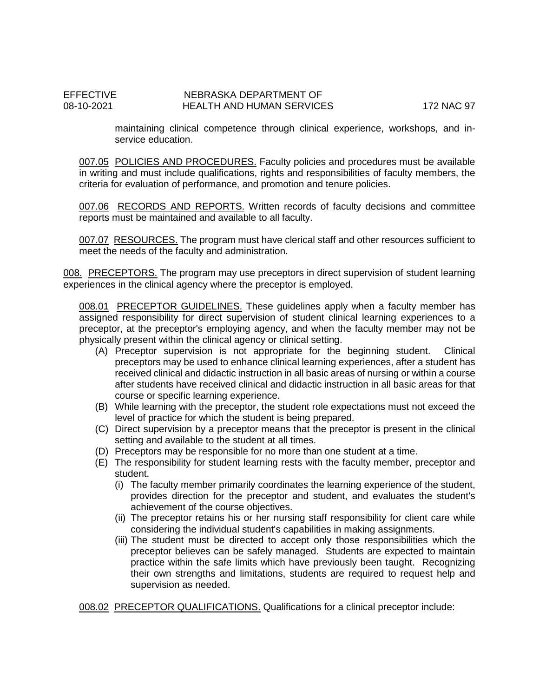maintaining clinical competence through clinical experience, workshops, and inservice education.

007.05 POLICIES AND PROCEDURES. Faculty policies and procedures must be available in writing and must include qualifications, rights and responsibilities of faculty members, the criteria for evaluation of performance, and promotion and tenure policies.

007.06 RECORDS AND REPORTS. Written records of faculty decisions and committee reports must be maintained and available to all faculty.

007.07 RESOURCES. The program must have clerical staff and other resources sufficient to meet the needs of the faculty and administration.

008. PRECEPTORS. The program may use preceptors in direct supervision of student learning experiences in the clinical agency where the preceptor is employed.

008.01 PRECEPTOR GUIDELINES. These guidelines apply when a faculty member has assigned responsibility for direct supervision of student clinical learning experiences to a preceptor, at the preceptor's employing agency, and when the faculty member may not be physically present within the clinical agency or clinical setting.

- (A) Preceptor supervision is not appropriate for the beginning student. Clinical preceptors may be used to enhance clinical learning experiences, after a student has received clinical and didactic instruction in all basic areas of nursing or within a course after students have received clinical and didactic instruction in all basic areas for that course or specific learning experience.
- (B) While learning with the preceptor, the student role expectations must not exceed the level of practice for which the student is being prepared.
- (C) Direct supervision by a preceptor means that the preceptor is present in the clinical setting and available to the student at all times.
- (D) Preceptors may be responsible for no more than one student at a time.
- (E) The responsibility for student learning rests with the faculty member, preceptor and student.
	- (i) The faculty member primarily coordinates the learning experience of the student, provides direction for the preceptor and student, and evaluates the student's achievement of the course objectives.
	- (ii) The preceptor retains his or her nursing staff responsibility for client care while considering the individual student's capabilities in making assignments.
	- (iii) The student must be directed to accept only those responsibilities which the preceptor believes can be safely managed. Students are expected to maintain practice within the safe limits which have previously been taught. Recognizing their own strengths and limitations, students are required to request help and supervision as needed.

008.02 PRECEPTOR QUALIFICATIONS. Qualifications for a clinical preceptor include: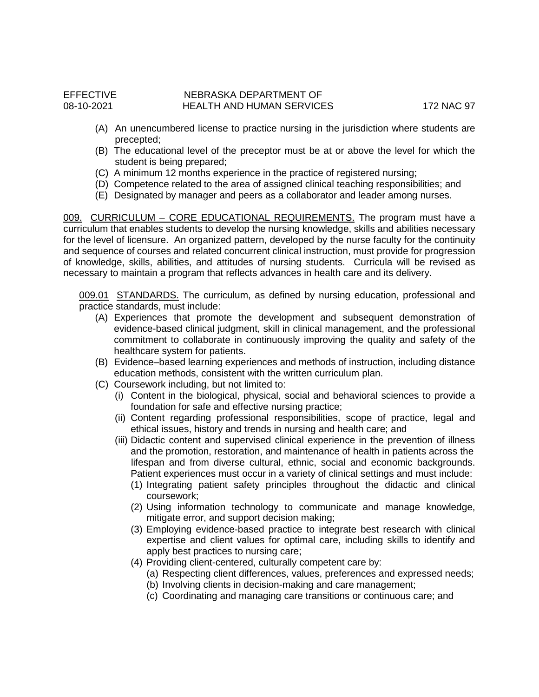- (A) An unencumbered license to practice nursing in the jurisdiction where students are precepted;
- (B) The educational level of the preceptor must be at or above the level for which the student is being prepared;
- (C) A minimum 12 months experience in the practice of registered nursing;
- (D) Competence related to the area of assigned clinical teaching responsibilities; and
- (E) Designated by manager and peers as a collaborator and leader among nurses.

009. CURRICULUM - CORE EDUCATIONAL REQUIREMENTS. The program must have a curriculum that enables students to develop the nursing knowledge, skills and abilities necessary for the level of licensure. An organized pattern, developed by the nurse faculty for the continuity and sequence of courses and related concurrent clinical instruction, must provide for progression of knowledge, skills, abilities, and attitudes of nursing students. Curricula will be revised as necessary to maintain a program that reflects advances in health care and its delivery.

009.01 STANDARDS. The curriculum, as defined by nursing education, professional and practice standards, must include:

- (A) Experiences that promote the development and subsequent demonstration of evidence-based clinical judgment, skill in clinical management, and the professional commitment to collaborate in continuously improving the quality and safety of the healthcare system for patients.
- (B) Evidence–based learning experiences and methods of instruction, including distance education methods, consistent with the written curriculum plan.
- (C) Coursework including, but not limited to:
	- (i) Content in the biological, physical, social and behavioral sciences to provide a foundation for safe and effective nursing practice;
	- (ii) Content regarding professional responsibilities, scope of practice, legal and ethical issues, history and trends in nursing and health care; and
	- (iii) Didactic content and supervised clinical experience in the prevention of illness and the promotion, restoration, and maintenance of health in patients across the lifespan and from diverse cultural, ethnic, social and economic backgrounds. Patient experiences must occur in a variety of clinical settings and must include:
		- (1) Integrating patient safety principles throughout the didactic and clinical coursework;
		- (2) Using information technology to communicate and manage knowledge, mitigate error, and support decision making;
		- (3) Employing evidence-based practice to integrate best research with clinical expertise and client values for optimal care, including skills to identify and apply best practices to nursing care;
		- (4) Providing client-centered, culturally competent care by:
			- (a) Respecting client differences, values, preferences and expressed needs; (b) Involving clients in decision-making and care management;
			- (c) Coordinating and managing care transitions or continuous care; and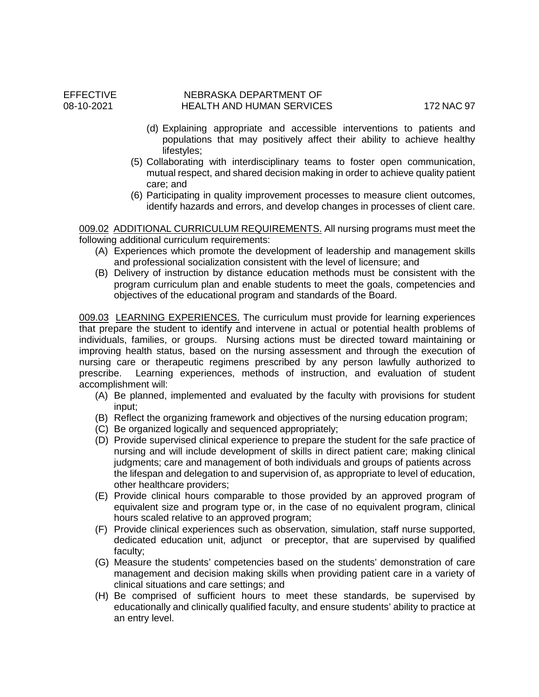- (d) Explaining appropriate and accessible interventions to patients and populations that may positively affect their ability to achieve healthy lifestyles;
- (5) Collaborating with interdisciplinary teams to foster open communication, mutual respect, and shared decision making in order to achieve quality patient care; and
- (6) Participating in quality improvement processes to measure client outcomes, identify hazards and errors, and develop changes in processes of client care.

009.02 ADDITIONAL CURRICULUM REQUIREMENTS. All nursing programs must meet the following additional curriculum requirements:

- (A) Experiences which promote the development of leadership and management skills and professional socialization consistent with the level of licensure; and
- (B) Delivery of instruction by distance education methods must be consistent with the program curriculum plan and enable students to meet the goals, competencies and objectives of the educational program and standards of the Board.

009.03 LEARNING EXPERIENCES. The curriculum must provide for learning experiences that prepare the student to identify and intervene in actual or potential health problems of individuals, families, or groups. Nursing actions must be directed toward maintaining or improving health status, based on the nursing assessment and through the execution of nursing care or therapeutic regimens prescribed by any person lawfully authorized to prescribe. Learning experiences, methods of instruction, and evaluation of student Learning experiences, methods of instruction, and evaluation of student accomplishment will:

- (A) Be planned, implemented and evaluated by the faculty with provisions for student input;
- (B) Reflect the organizing framework and objectives of the nursing education program;
- (C) Be organized logically and sequenced appropriately;
- (D) Provide supervised clinical experience to prepare the student for the safe practice of nursing and will include development of skills in direct patient care; making clinical judgments; care and management of both individuals and groups of patients across the lifespan and delegation to and supervision of, as appropriate to level of education, other healthcare providers;
- (E) Provide clinical hours comparable to those provided by an approved program of equivalent size and program type or, in the case of no equivalent program, clinical hours scaled relative to an approved program;
- (F) Provide clinical experiences such as observation, simulation, staff nurse supported, dedicated education unit, adjunct or preceptor, that are supervised by qualified faculty;
- (G) Measure the students' competencies based on the students' demonstration of care management and decision making skills when providing patient care in a variety of clinical situations and care settings; and
- (H) Be comprised of sufficient hours to meet these standards, be supervised by educationally and clinically qualified faculty, and ensure students' ability to practice at an entry level.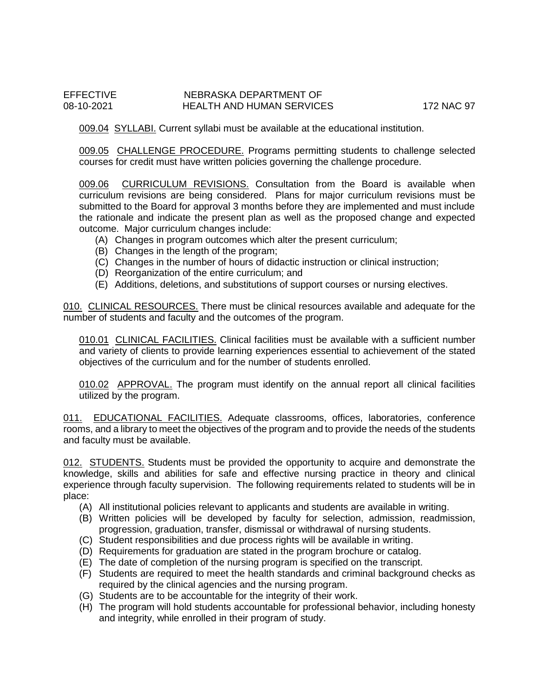009.04 SYLLABI. Current syllabi must be available at the educational institution.

009.05 CHALLENGE PROCEDURE. Programs permitting students to challenge selected courses for credit must have written policies governing the challenge procedure.

009.06 CURRICULUM REVISIONS. Consultation from the Board is available when curriculum revisions are being considered. Plans for major curriculum revisions must be submitted to the Board for approval 3 months before they are implemented and must include the rationale and indicate the present plan as well as the proposed change and expected outcome. Major curriculum changes include:

- (A) Changes in program outcomes which alter the present curriculum;
- (B) Changes in the length of the program;
- (C) Changes in the number of hours of didactic instruction or clinical instruction;
- (D) Reorganization of the entire curriculum; and
- (E) Additions, deletions, and substitutions of support courses or nursing electives.

010. CLINICAL RESOURCES. There must be clinical resources available and adequate for the number of students and faculty and the outcomes of the program.

010.01 CLINICAL FACILITIES. Clinical facilities must be available with a sufficient number and variety of clients to provide learning experiences essential to achievement of the stated objectives of the curriculum and for the number of students enrolled.

010.02 APPROVAL. The program must identify on the annual report all clinical facilities utilized by the program.

011. EDUCATIONAL FACILITIES. Adequate classrooms, offices, laboratories, conference rooms, and a library to meet the objectives of the program and to provide the needs of the students and faculty must be available.

012. STUDENTS. Students must be provided the opportunity to acquire and demonstrate the knowledge, skills and abilities for safe and effective nursing practice in theory and clinical experience through faculty supervision. The following requirements related to students will be in place:

- (A) All institutional policies relevant to applicants and students are available in writing.
- (B) Written policies will be developed by faculty for selection, admission, readmission, progression, graduation, transfer, dismissal or withdrawal of nursing students.
- (C) Student responsibilities and due process rights will be available in writing.
- (D) Requirements for graduation are stated in the program brochure or catalog.
- (E) The date of completion of the nursing program is specified on the transcript.
- (F) Students are required to meet the health standards and criminal background checks as required by the clinical agencies and the nursing program.
- (G) Students are to be accountable for the integrity of their work.
- (H) The program will hold students accountable for professional behavior, including honesty and integrity, while enrolled in their program of study.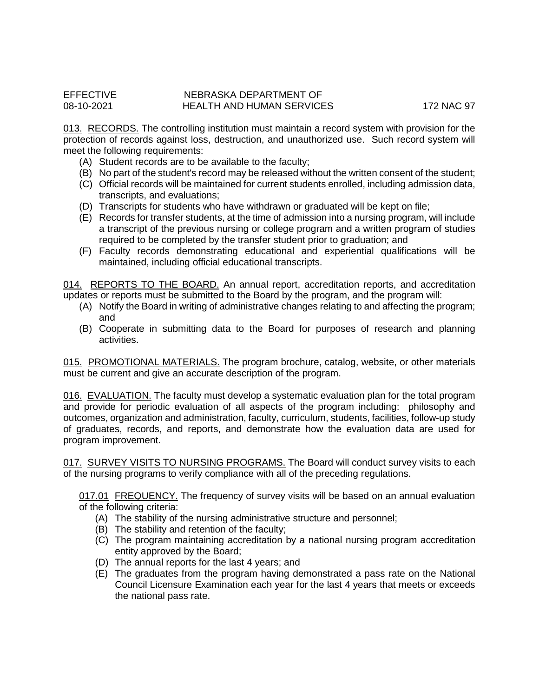013. RECORDS. The controlling institution must maintain a record system with provision for the protection of records against loss, destruction, and unauthorized use. Such record system will meet the following requirements:

- (A) Student records are to be available to the faculty;
- (B) No part of the student's record may be released without the written consent of the student;
- (C) Official records will be maintained for current students enrolled, including admission data, transcripts, and evaluations;
- (D) Transcripts for students who have withdrawn or graduated will be kept on file;
- (E) Records for transfer students, at the time of admission into a nursing program, will include a transcript of the previous nursing or college program and a written program of studies required to be completed by the transfer student prior to graduation; and
- (F) Faculty records demonstrating educational and experiential qualifications will be maintained, including official educational transcripts.

014. REPORTS TO THE BOARD. An annual report, accreditation reports, and accreditation updates or reports must be submitted to the Board by the program, and the program will:

- (A) Notify the Board in writing of administrative changes relating to and affecting the program; and
- (B) Cooperate in submitting data to the Board for purposes of research and planning activities.

015. PROMOTIONAL MATERIALS. The program brochure, catalog, website, or other materials must be current and give an accurate description of the program.

016. EVALUATION. The faculty must develop a systematic evaluation plan for the total program and provide for periodic evaluation of all aspects of the program including: philosophy and outcomes, organization and administration, faculty, curriculum, students, facilities, follow-up study of graduates, records, and reports, and demonstrate how the evaluation data are used for program improvement.

017. SURVEY VISITS TO NURSING PROGRAMS. The Board will conduct survey visits to each of the nursing programs to verify compliance with all of the preceding regulations.

017.01 FREQUENCY. The frequency of survey visits will be based on an annual evaluation of the following criteria:

- (A) The stability of the nursing administrative structure and personnel;
- (B) The stability and retention of the faculty;
- (C) The program maintaining accreditation by a national nursing program accreditation entity approved by the Board;
- (D) The annual reports for the last 4 years; and
- (E) The graduates from the program having demonstrated a pass rate on the National Council Licensure Examination each year for the last 4 years that meets or exceeds the national pass rate.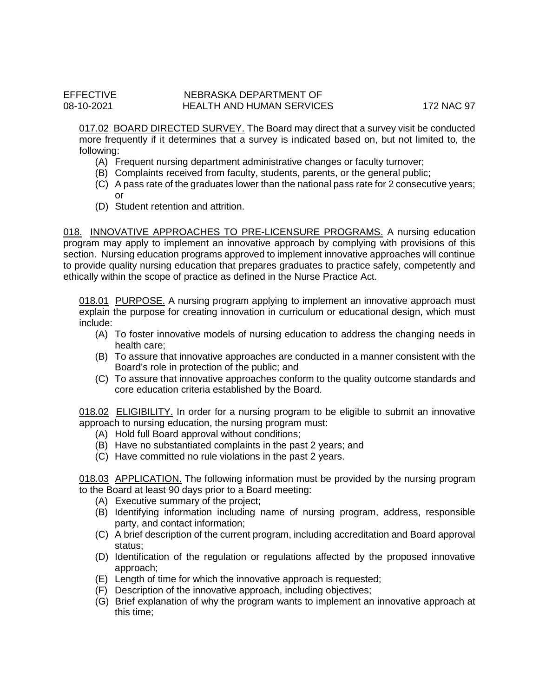017.02 BOARD DIRECTED SURVEY. The Board may direct that a survey visit be conducted more frequently if it determines that a survey is indicated based on, but not limited to, the following:

- (A) Frequent nursing department administrative changes or faculty turnover;
- (B) Complaints received from faculty, students, parents, or the general public;
- (C) A pass rate of the graduates lower than the national pass rate for 2 consecutive years; or
- (D) Student retention and attrition.

018. INNOVATIVE APPROACHES TO PRE-LICENSURE PROGRAMS. A nursing education program may apply to implement an innovative approach by complying with provisions of this section. Nursing education programs approved to implement innovative approaches will continue to provide quality nursing education that prepares graduates to practice safely, competently and ethically within the scope of practice as defined in the Nurse Practice Act.

018.01 PURPOSE. A nursing program applying to implement an innovative approach must explain the purpose for creating innovation in curriculum or educational design, which must include:

- (A) To foster innovative models of nursing education to address the changing needs in health care;
- (B) To assure that innovative approaches are conducted in a manner consistent with the Board's role in protection of the public; and
- (C) To assure that innovative approaches conform to the quality outcome standards and core education criteria established by the Board.

018.02 ELIGIBILITY. In order for a nursing program to be eligible to submit an innovative approach to nursing education, the nursing program must:

- (A) Hold full Board approval without conditions;
- (B) Have no substantiated complaints in the past 2 years; and
- (C) Have committed no rule violations in the past 2 years.

018.03 APPLICATION. The following information must be provided by the nursing program to the Board at least 90 days prior to a Board meeting:

- (A) Executive summary of the project;
- (B) Identifying information including name of nursing program, address, responsible party, and contact information;
- (C) A brief description of the current program, including accreditation and Board approval status;
- (D) Identification of the regulation or regulations affected by the proposed innovative approach;
- (E) Length of time for which the innovative approach is requested;
- (F) Description of the innovative approach, including objectives;
- (G) Brief explanation of why the program wants to implement an innovative approach at this time;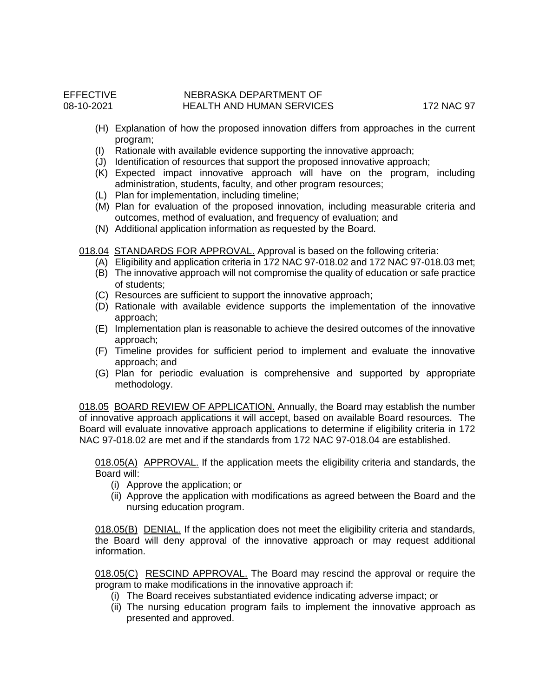- (H) Explanation of how the proposed innovation differs from approaches in the current program;
- (I) Rationale with available evidence supporting the innovative approach;
- (J) Identification of resources that support the proposed innovative approach;
- (K) Expected impact innovative approach will have on the program, including administration, students, faculty, and other program resources;
- (L) Plan for implementation, including timeline;
- (M) Plan for evaluation of the proposed innovation, including measurable criteria and outcomes, method of evaluation, and frequency of evaluation; and
- (N) Additional application information as requested by the Board.

018.04 STANDARDS FOR APPROVAL. Approval is based on the following criteria:

- (A) Eligibility and application criteria in 172 NAC 97-018.02 and 172 NAC 97-018.03 met;
- (B) The innovative approach will not compromise the quality of education or safe practice of students;
- (C) Resources are sufficient to support the innovative approach;
- (D) Rationale with available evidence supports the implementation of the innovative approach;
- (E) Implementation plan is reasonable to achieve the desired outcomes of the innovative approach;
- (F) Timeline provides for sufficient period to implement and evaluate the innovative approach; and
- (G) Plan for periodic evaluation is comprehensive and supported by appropriate methodology.

018.05 BOARD REVIEW OF APPLICATION. Annually, the Board may establish the number of innovative approach applications it will accept, based on available Board resources. The Board will evaluate innovative approach applications to determine if eligibility criteria in 172 NAC 97-018.02 are met and if the standards from 172 NAC 97-018.04 are established.

018.05(A) APPROVAL. If the application meets the eligibility criteria and standards, the Board will:

- (i) Approve the application; or
- (ii) Approve the application with modifications as agreed between the Board and the nursing education program.

018.05(B) DENIAL. If the application does not meet the eligibility criteria and standards, the Board will deny approval of the innovative approach or may request additional information.

018.05(C) RESCIND APPROVAL. The Board may rescind the approval or require the program to make modifications in the innovative approach if:

- (i) The Board receives substantiated evidence indicating adverse impact; or
- (ii) The nursing education program fails to implement the innovative approach as presented and approved.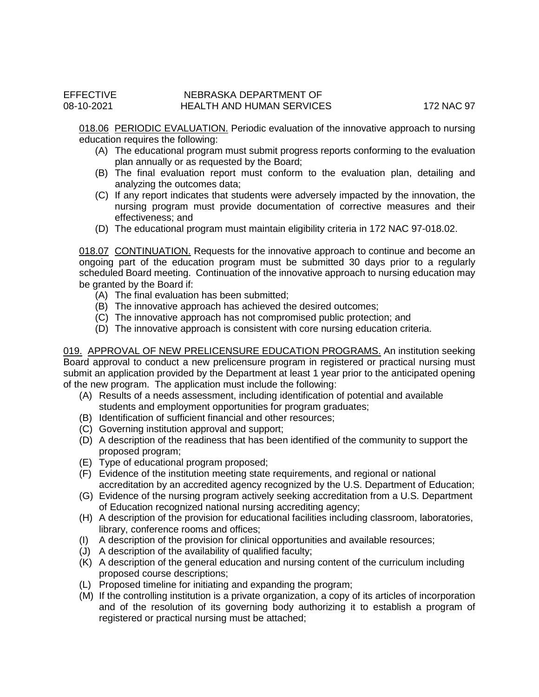018.06 PERIODIC EVALUATION. Periodic evaluation of the innovative approach to nursing education requires the following:

- (A) The educational program must submit progress reports conforming to the evaluation plan annually or as requested by the Board;
- (B) The final evaluation report must conform to the evaluation plan, detailing and analyzing the outcomes data;
- (C) If any report indicates that students were adversely impacted by the innovation, the nursing program must provide documentation of corrective measures and their effectiveness; and
- (D) The educational program must maintain eligibility criteria in 172 NAC 97-018.02.

018.07 CONTINUATION. Requests for the innovative approach to continue and become an ongoing part of the education program must be submitted 30 days prior to a regularly scheduled Board meeting. Continuation of the innovative approach to nursing education may be granted by the Board if:

- (A) The final evaluation has been submitted;
- (B) The innovative approach has achieved the desired outcomes;
- (C) The innovative approach has not compromised public protection; and
- (D) The innovative approach is consistent with core nursing education criteria.

019. APPROVAL OF NEW PRELICENSURE EDUCATION PROGRAMS. An institution seeking Board approval to conduct a new prelicensure program in registered or practical nursing must submit an application provided by the Department at least 1 year prior to the anticipated opening of the new program. The application must include the following:

- (A) Results of a needs assessment, including identification of potential and available students and employment opportunities for program graduates;
- (B) Identification of sufficient financial and other resources;
- (C) Governing institution approval and support;
- (D) A description of the readiness that has been identified of the community to support the proposed program;
- (E) Type of educational program proposed;
- (F) Evidence of the institution meeting state requirements, and regional or national accreditation by an accredited agency recognized by the U.S. Department of Education;
- (G) Evidence of the nursing program actively seeking accreditation from a U.S. Department of Education recognized national nursing accrediting agency;
- (H) A description of the provision for educational facilities including classroom, laboratories, library, conference rooms and offices;
- (I) A description of the provision for clinical opportunities and available resources;
- (J) A description of the availability of qualified faculty;
- (K) A description of the general education and nursing content of the curriculum including proposed course descriptions;
- (L) Proposed timeline for initiating and expanding the program;
- (M) If the controlling institution is a private organization, a copy of its articles of incorporation and of the resolution of its governing body authorizing it to establish a program of registered or practical nursing must be attached;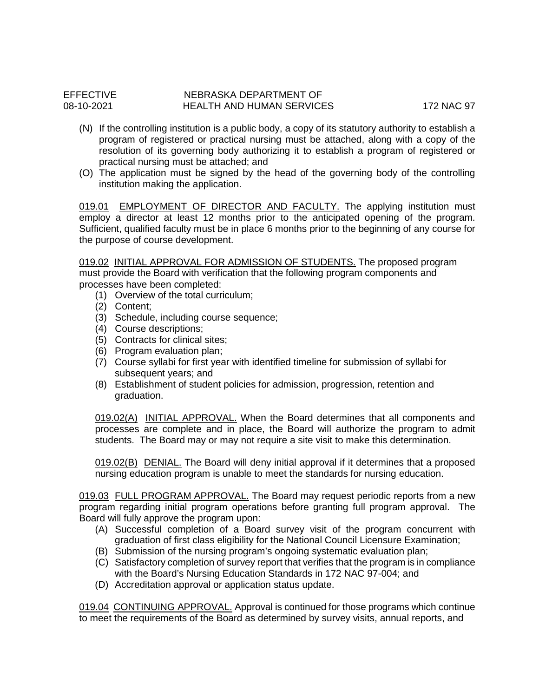- (N) If the controlling institution is a public body, a copy of its statutory authority to establish a program of registered or practical nursing must be attached, along with a copy of the resolution of its governing body authorizing it to establish a program of registered or practical nursing must be attached; and
- (O) The application must be signed by the head of the governing body of the controlling institution making the application.

019.01 EMPLOYMENT OF DIRECTOR AND FACULTY. The applying institution must employ a director at least 12 months prior to the anticipated opening of the program. Sufficient, qualified faculty must be in place 6 months prior to the beginning of any course for the purpose of course development.

019.02 INITIAL APPROVAL FOR ADMISSION OF STUDENTS. The proposed program must provide the Board with verification that the following program components and processes have been completed:

- (1) Overview of the total curriculum;
- (2) Content;
- (3) Schedule, including course sequence;
- (4) Course descriptions;
- (5) Contracts for clinical sites;
- (6) Program evaluation plan;
- (7) Course syllabi for first year with identified timeline for submission of syllabi for subsequent years; and
- (8) Establishment of student policies for admission, progression, retention and graduation.

019.02(A) INITIAL APPROVAL. When the Board determines that all components and processes are complete and in place, the Board will authorize the program to admit students. The Board may or may not require a site visit to make this determination.

019.02(B) DENIAL. The Board will deny initial approval if it determines that a proposed nursing education program is unable to meet the standards for nursing education.

019.03 FULL PROGRAM APPROVAL. The Board may request periodic reports from a new program regarding initial program operations before granting full program approval. The Board will fully approve the program upon:

- (A) Successful completion of a Board survey visit of the program concurrent with graduation of first class eligibility for the National Council Licensure Examination;
- (B) Submission of the nursing program's ongoing systematic evaluation plan;
- (C) Satisfactory completion of survey report that verifies that the program is in compliance with the Board's Nursing Education Standards in 172 NAC 97-004; and
- (D) Accreditation approval or application status update.

019.04 CONTINUING APPROVAL. Approval is continued for those programs which continue to meet the requirements of the Board as determined by survey visits, annual reports, and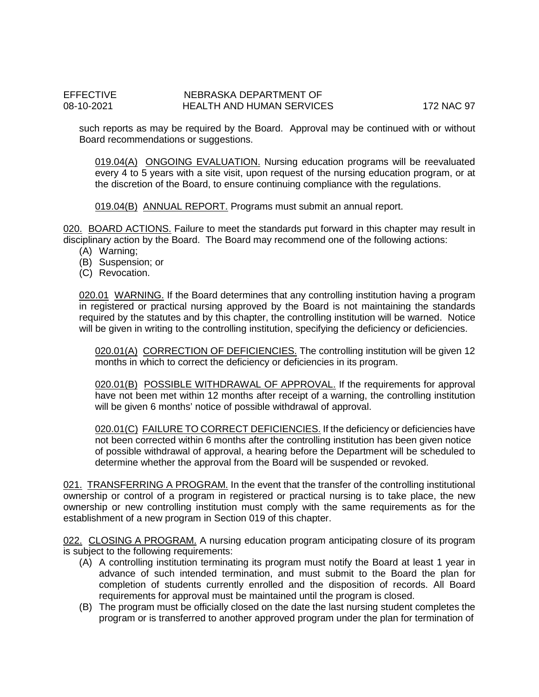such reports as may be required by the Board. Approval may be continued with or without Board recommendations or suggestions.

019.04(A) ONGOING EVALUATION. Nursing education programs will be reevaluated every 4 to 5 years with a site visit, upon request of the nursing education program, or at the discretion of the Board, to ensure continuing compliance with the regulations.

019.04(B) ANNUAL REPORT. Programs must submit an annual report.

020. BOARD ACTIONS. Failure to meet the standards put forward in this chapter may result in disciplinary action by the Board. The Board may recommend one of the following actions:

- (A) Warning;
- (B) Suspension; or
- (C) Revocation.

020.01 WARNING. If the Board determines that any controlling institution having a program in registered or practical nursing approved by the Board is not maintaining the standards required by the statutes and by this chapter, the controlling institution will be warned. Notice will be given in writing to the controlling institution, specifying the deficiency or deficiencies.

020.01(A) CORRECTION OF DEFICIENCIES. The controlling institution will be given 12 months in which to correct the deficiency or deficiencies in its program.

020.01(B) POSSIBLE WITHDRAWAL OF APPROVAL. If the requirements for approval have not been met within 12 months after receipt of a warning, the controlling institution will be given 6 months' notice of possible withdrawal of approval.

020.01(C) FAILURE TO CORRECT DEFICIENCIES. If the deficiency or deficiencies have not been corrected within 6 months after the controlling institution has been given notice of possible withdrawal of approval, a hearing before the Department will be scheduled to determine whether the approval from the Board will be suspended or revoked.

021. TRANSFERRING A PROGRAM. In the event that the transfer of the controlling institutional ownership or control of a program in registered or practical nursing is to take place, the new ownership or new controlling institution must comply with the same requirements as for the establishment of a new program in Section 019 of this chapter.

022. CLOSING A PROGRAM. A nursing education program anticipating closure of its program is subject to the following requirements:

- (A) A controlling institution terminating its program must notify the Board at least 1 year in advance of such intended termination, and must submit to the Board the plan for completion of students currently enrolled and the disposition of records. All Board requirements for approval must be maintained until the program is closed.
- (B) The program must be officially closed on the date the last nursing student completes the program or is transferred to another approved program under the plan for termination of